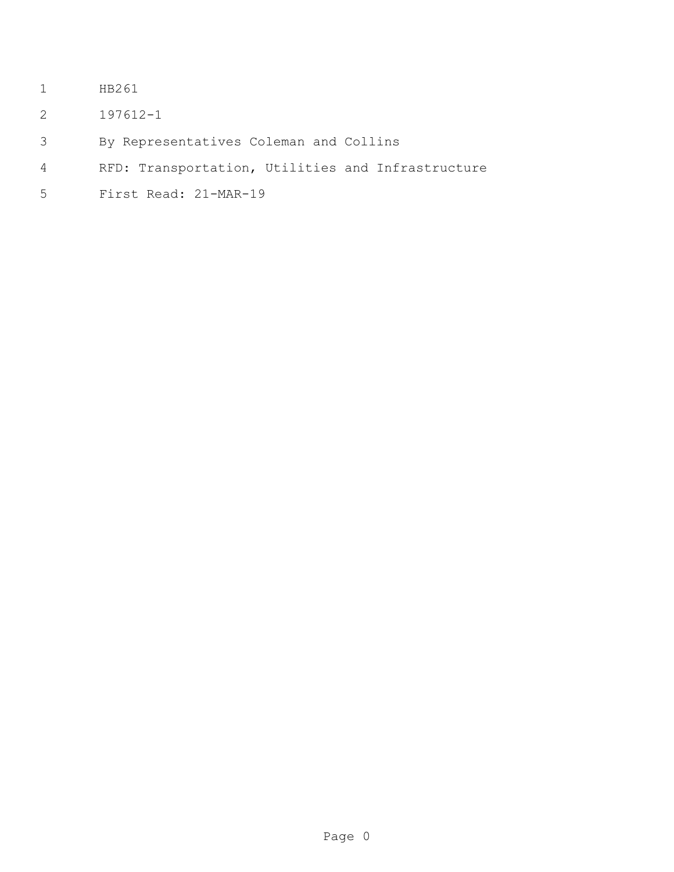- HB261
- 197612-1
- By Representatives Coleman and Collins
- RFD: Transportation, Utilities and Infrastructure
- First Read: 21-MAR-19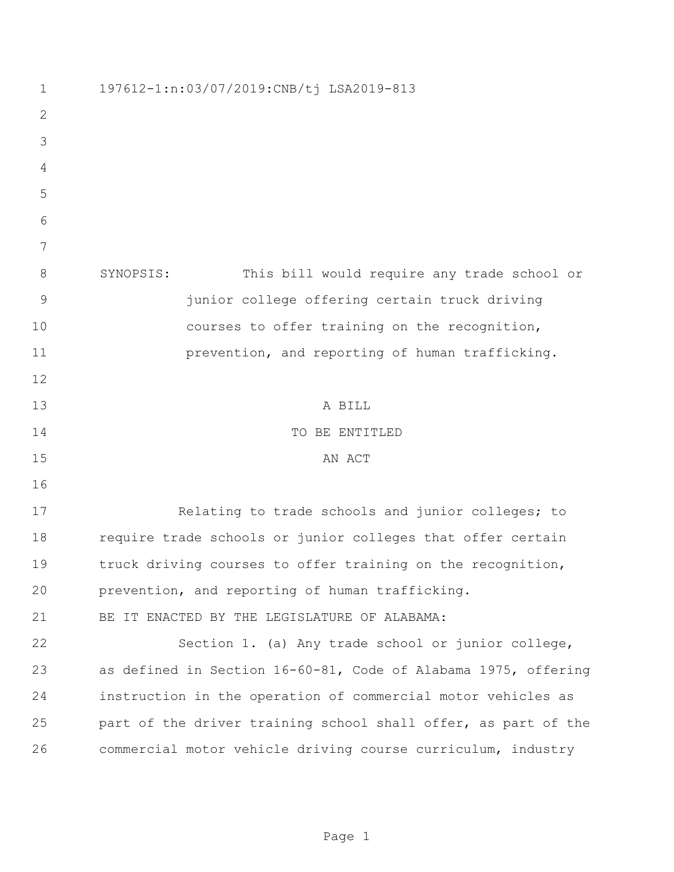| $\mathbf 1$  | 197612-1:n:03/07/2019:CNB/tj LSA2019-813                       |
|--------------|----------------------------------------------------------------|
| $\mathbf{2}$ |                                                                |
| 3            |                                                                |
| 4            |                                                                |
| 5            |                                                                |
| 6            |                                                                |
| 7            |                                                                |
| 8            | This bill would require any trade school or<br>SYNOPSIS:       |
| 9            | junior college offering certain truck driving                  |
| 10           | courses to offer training on the recognition,                  |
| 11           | prevention, and reporting of human trafficking.                |
| 12           |                                                                |
| 13           | A BILL                                                         |
| 14           | TO BE ENTITLED                                                 |
| 15           | AN ACT                                                         |
| 16           |                                                                |
| 17           | Relating to trade schools and junior colleges; to              |
| 18           | require trade schools or junior colleges that offer certain    |
| 19           | truck driving courses to offer training on the recognition,    |
| 20           | prevention, and reporting of human trafficking.                |
| 21           | BE IT ENACTED BY THE LEGISLATURE OF ALABAMA:                   |
| 22           | Section 1. (a) Any trade school or junior college,             |
| 23           | as defined in Section 16-60-81, Code of Alabama 1975, offering |
| 24           | instruction in the operation of commercial motor vehicles as   |
| 25           | part of the driver training school shall offer, as part of the |
| 26           | commercial motor vehicle driving course curriculum, industry   |
|              |                                                                |